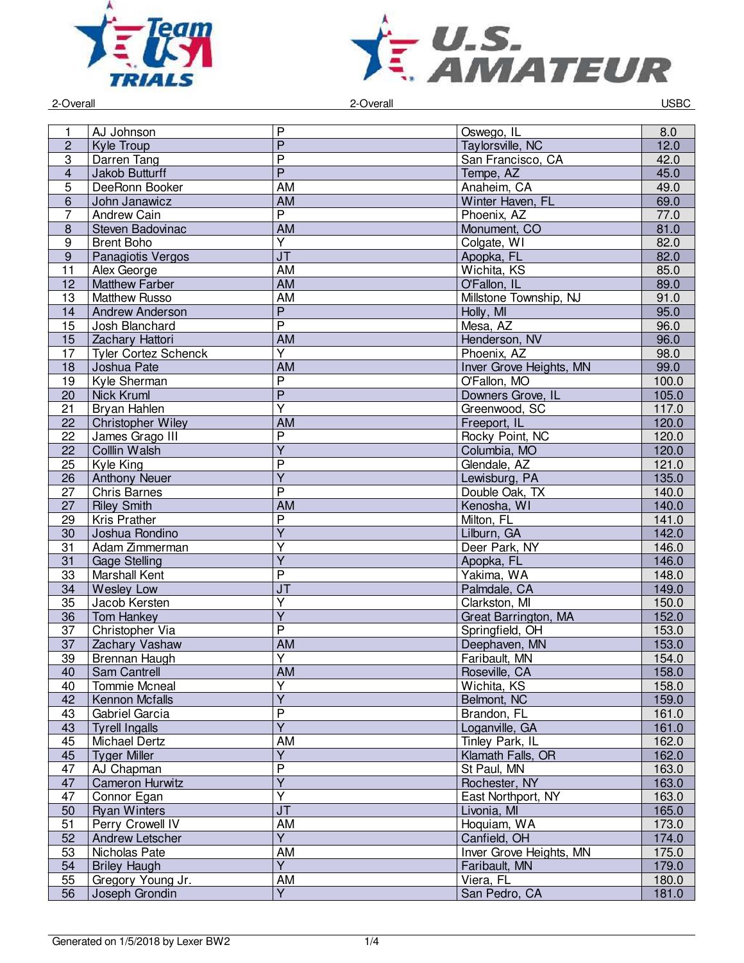



2-Overall 2-Overall USBC

| 1               | AJ Johnson                  | $\mathsf{P}$                      | Oswego, IL              | 8.0   |
|-----------------|-----------------------------|-----------------------------------|-------------------------|-------|
|                 |                             | $\overline{P}$                    |                         |       |
| $\overline{c}$  | Kyle Troup                  |                                   | Taylorsville, NC        | 12.0  |
| 3               | Darren Tang                 | $\overline{P}$                    | San Francisco, CA       | 42.0  |
| $\overline{4}$  | Jakob Butturff              | $\overline{P}$                    | Tempe, AZ               | 45.0  |
| $\overline{5}$  | DeeRonn Booker              | $\overline{AM}$                   | Anaheim, CA             | 49.0  |
| $6\phantom{1}$  | John Janawicz               | AM                                | Winter Haven, FL        | 69.0  |
| $\overline{7}$  | <b>Andrew Cain</b>          | $\overline{\mathsf{P}}$           | Phoenix, AZ             | 77.0  |
| $\bf 8$         | Steven Badovinac            | <b>AM</b>                         | Monument, CO            | 81.0  |
| 9               | <b>Brent Boho</b>           | $\overline{Y}$                    | Colgate, WI             | 82.0  |
| $9\,$           | Panagiotis Vergos           | $\overline{\mathsf{J}\mathsf{T}}$ | Apopka, FL              | 82.0  |
| 11              | Alex George                 | AM                                | Wichita, KS             | 85.0  |
| 12              | <b>Matthew Farber</b>       | AM                                | O'Fallon, IL            | 89.0  |
| 13              | <b>Matthew Russo</b>        | AM                                | Millstone Township, NJ  | 91.0  |
| 14              | <b>Andrew Anderson</b>      | $\overline{P}$                    | Holly, MI               | 95.0  |
| 15              | Josh Blanchard              | $\overline{P}$                    | Mesa, AZ                | 96.0  |
|                 |                             | <b>AM</b>                         |                         |       |
| 15              | Zachary Hattori             |                                   | Henderson, NV           | 96.0  |
| 17              | <b>Tyler Cortez Schenck</b> | $\overline{\mathsf{Y}}$           | Phoenix, AZ             | 98.0  |
| 18              | Joshua Pate                 | <b>AM</b>                         | Inver Grove Heights, MN | 99.0  |
| 19              | Kyle Sherman                | $\overline{P}$                    | O'Fallon, MO            | 100.0 |
| 20              | <b>Nick Kruml</b>           | $\overline{P}$                    | Downers Grove, IL       | 105.0 |
| 21              | Bryan Hahlen                | $\overline{\mathsf{Y}}$           | Greenwood, SC           | 117.0 |
| 22              | <b>Christopher Wiley</b>    | AM                                | Freeport, IL            | 120.0 |
| 22              | James Grago III             | $\overline{P}$                    | Rocky Point, NC         | 120.0 |
| 22              | Colllin Walsh               | $\overline{Y}$                    | Columbia, MO            | 120.0 |
| 25              | Kyle King                   | $\overline{P}$                    | Glendale, AZ            | 121.0 |
| 26              | <b>Anthony Neuer</b>        | $\overline{Y}$                    | Lewisburg, PA           | 135.0 |
| 27              | <b>Chris Barnes</b>         | $\overline{\mathsf{P}}$           | Double Oak, TX          | 140.0 |
| 27              | <b>Riley Smith</b>          | AM                                | Kenosha, WI             | 140.0 |
| 29              | Kris Prather                | $\overline{\mathsf{P}}$           | Milton, FL              | 141.0 |
| 30              | Joshua Rondino              | $\overline{Y}$                    | Lilburn, GA             | 142.0 |
| 31              | Adam Zimmerman              | $\overline{Y}$                    | Deer Park, NY           | 146.0 |
| 31              | <b>Gage Stelling</b>        | $\overline{\mathsf{Y}}$           | Apopka, FL              | 146.0 |
| 33              | Marshall Kent               | $\overline{P}$                    | Yakima, WA              | 148.0 |
| 34              | <b>Wesley Low</b>           | $\overline{\mathsf{J}\mathsf{T}}$ | Palmdale, CA            | 149.0 |
| 35              | Jacob Kersten               | $\overline{Y}$                    | Clarkston, MI           | 150.0 |
| 36              | Tom Hankey                  | $\overline{Y}$                    | Great Barrington, MA    | 152.0 |
| 37              | Christopher Via             | $\overline{\mathsf{P}}$           | Springfield, OH         | 153.0 |
| 37              | Zachary Vashaw              | <b>AM</b>                         | Deephaven, MN           | 153.0 |
| $\overline{39}$ |                             | $\overline{\mathsf{Y}}$           | Faribault, MN           | 154.0 |
|                 | Brennan Haugh               |                                   |                         |       |
| 40              | Sam Cantrell                | AM                                | Roseville, CA           | 158.0 |
| 40              | Tommie Mcneal               | $\overline{Y}$                    | Wichita, KS             | 158.0 |
| 42              | Kennon Mcfalls              | $\overline{\mathsf{Y}}$           | Belmont, NC             | 159.0 |
| 43              | Gabriel Garcia              | $\overline{P}$                    | Brandon, FL             | 161.0 |
| 43              | <b>Tyrell Ingalls</b>       | $\overline{Y}$                    | Loganville, GA          | 161.0 |
| 45              | Michael Dertz               | AM                                | Tinley Park, IL         | 162.0 |
| 45              | <b>Tyger Miller</b>         | $\overline{Y}$                    | Klamath Falls, OR       | 162.0 |
| 47              | AJ Chapman                  | $\overline{\mathsf{P}}$           | St Paul, MN             | 163.0 |
| 47              | <b>Cameron Hurwitz</b>      | $\overline{Y}$                    | Rochester, NY           | 163.0 |
| 47              | Connor Egan                 | $\overline{Y}$                    | East Northport, NY      | 163.0 |
| 50              | <b>Ryan Winters</b>         | $\overline{\mathsf{J}\mathsf{T}}$ | Livonia, MI             | 165.0 |
| 51              | Perry Crowell IV            | AM                                | Hoquiam, WA             | 173.0 |
| 52              | Andrew Letscher             | $\overline{Y}$                    | Canfield, OH            | 174.0 |
| 53              | Nicholas Pate               | AM                                | Inver Grove Heights, MN | 175.0 |
| 54              | <b>Briley Haugh</b>         | $\overline{Y}$                    | Faribault, MN           | 179.0 |
| 55              | Gregory Young Jr.           | AM                                | Viera, FL               | 180.0 |
| 56              | Joseph Grondin              | $\overline{\mathsf{Y}}$           | San Pedro, CA           | 181.0 |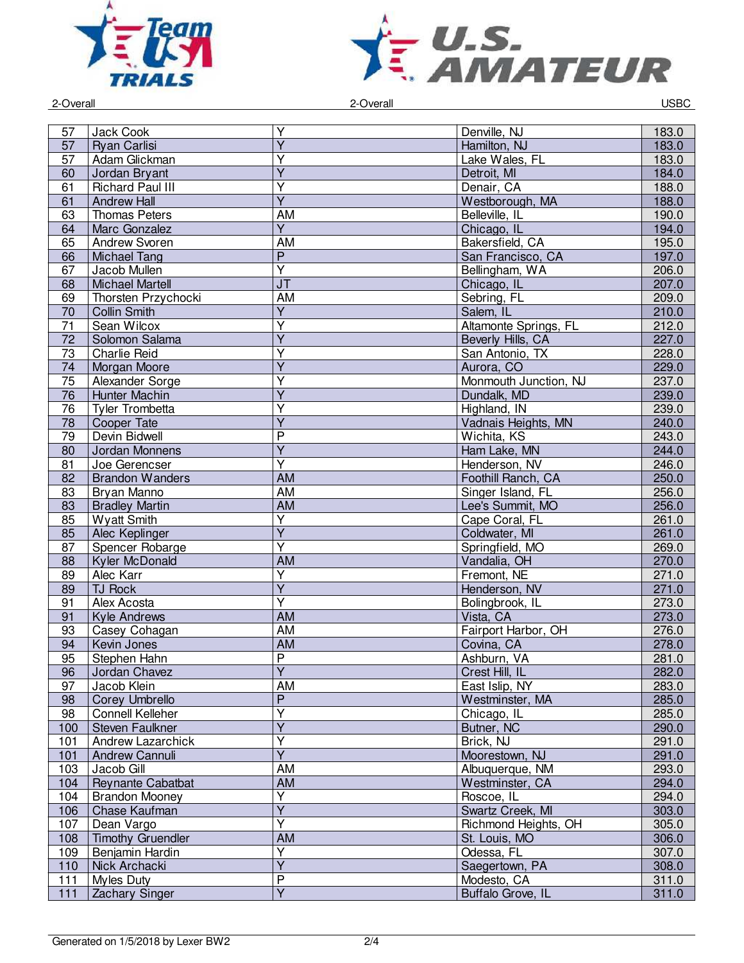



2-Overall 2-Overall USBC

| 57              | Jack Cook                | Y                       | Denville, NJ          | 183.0 |
|-----------------|--------------------------|-------------------------|-----------------------|-------|
| 57              | <b>Ryan Carlisi</b>      | $\overline{Y}$          | Hamilton, NJ          | 183.0 |
| 57              | Adam Glickman            | $\overline{\mathsf{Y}}$ | Lake Wales, FL        | 183.0 |
| 60              | Jordan Bryant            | Ÿ                       | Detroit, MI           | 184.0 |
| 61              | <b>Richard Paul III</b>  | Υ                       | Denair, CA            | 188.0 |
| 61              | <b>Andrew Hall</b>       | $\overline{Y}$          | Westborough, MA       | 188.0 |
| 63              | <b>Thomas Peters</b>     | <b>AM</b>               | Belleville, IL        | 190.0 |
| 64              | Marc Gonzalez            | $\overline{Y}$          | Chicago, IL           | 194.0 |
| 65              | <b>Andrew Svoren</b>     | <b>AM</b>               | Bakersfield, CA       | 195.0 |
| 66              | <b>Michael Tang</b>      | $\overline{P}$          | San Francisco, CA     | 197.0 |
| 67              | Jacob Mullen             | $\overline{\mathsf{Y}}$ | Bellingham, WA        | 206.0 |
| 68              | <b>Michael Martell</b>   | J <sub>T</sub>          | Chicago, IL           | 207.0 |
| 69              | Thorsten Przychocki      | AM                      | Sebring, FL           | 209.0 |
| 70              | <b>Collin Smith</b>      | $\overline{\mathsf{Y}}$ | Salem, IL             | 210.0 |
| 71              | Sean Wilcox              | $\overline{\mathsf{Y}}$ | Altamonte Springs, FL | 212.0 |
| 72              | Solomon Salama           | $\overline{Y}$          | Beverly Hills, CA     | 227.0 |
| 73              | <b>Charlie Reid</b>      | $\overline{Y}$          | San Antonio, TX       | 228.0 |
| 74              | Morgan Moore             | $\overline{\mathsf{Y}}$ | Aurora, CO            | 229.0 |
| 75              | Alexander Sorge          | Y                       | Monmouth Junction, NJ | 237.0 |
| 76              | Hunter Machin            | $\overline{Y}$          | Dundalk, MD           | 239.0 |
| 76              | <b>Tyler Trombetta</b>   | $\overline{\mathsf{Y}}$ | Highland, IN          | 239.0 |
|                 |                          | $\overline{Y}$          |                       |       |
| 78              | Cooper Tate              | $\overline{P}$          | Vadnais Heights, MN   | 240.0 |
| 79              | Devin Bidwell            |                         | Wichita, KS           | 243.0 |
| 80              | Jordan Monnens           | $\overline{Y}$          | Ham Lake, MN          | 244.0 |
| 81              | Joe Gerencser            | $\overline{Y}$          | Henderson, NV         | 246.0 |
| 82              | <b>Brandon Wanders</b>   | <b>AM</b>               | Foothill Ranch, CA    | 250.0 |
| 83              | Bryan Manno              | AM                      | Singer Island, FL     | 256.0 |
| 83              | <b>Bradley Martin</b>    | <b>AM</b>               | Lee's Summit, MO      | 256.0 |
| 85              | <b>Wyatt Smith</b>       | $\overline{\mathsf{Y}}$ | Cape Coral, FL        | 261.0 |
| 85              | Alec Keplinger           | $\overline{\mathsf{Y}}$ | Coldwater, MI         | 261.0 |
| 87              | Spencer Robarge          | $\overline{\mathsf{Y}}$ | Springfield, MO       | 269.0 |
| 88              | Kyler McDonald           | <b>AM</b>               | Vandalia, OH          | 270.0 |
| 89              | Alec Karr                | $\overline{Y}$          | Fremont, NE           | 271.0 |
| 89              | <b>TJ Rock</b>           | $\overline{Y}$          | Henderson, NV         | 271.0 |
| 91              | Alex Acosta              | Y                       | Bolingbrook, IL       | 273.0 |
| 91              | <b>Kyle Andrews</b>      | <b>AM</b>               | Vista, CA             | 273.0 |
| 93              | Casey Cohagan            | AM                      | Fairport Harbor, OH   | 276.0 |
| 94              | Kevin Jones              | <b>AM</b>               | Covina, CA            | 278.0 |
| $\overline{95}$ | Stephen Hahn             | $\overline{P}$          | Ashburn, VA           | 281.0 |
| 96              | Jordan Chavez            | Y                       | Crest Hill, IL        | 282.0 |
| 97              | Jacob Klein              | <b>AM</b>               | East Islip, NY        | 283.0 |
| 98              | Corey Umbrello           | $\overline{P}$          | Westminster, MA       | 285.0 |
| 98              | <b>Connell Kelleher</b>  | $\overline{\mathsf{Y}}$ | Chicago, IL           | 285.0 |
| 100             | <b>Steven Faulkner</b>   | $\overline{Y}$          | Butner, NC            | 290.0 |
| 101             | Andrew Lazarchick        | Y                       | Brick, NJ             | 291.0 |
|                 |                          | $\overline{Y}$          | Moorestown, NJ        |       |
| 101             | Andrew Cannuli           |                         |                       | 291.0 |
| 103             | Jacob Gill               | AM                      | Albuquerque, NM       | 293.0 |
| 104             | Reynante Cabatbat        | <b>AM</b>               | Westminster, CA       | 294.0 |
| 104             | <b>Brandon Mooney</b>    | $\overline{Y}$          | Roscoe, IL            | 294.0 |
| 106             | Chase Kaufman            | $\overline{Y}$          | Swartz Creek, MI      | 303.0 |
| 107             | Dean Vargo               | $\overline{\mathsf{Y}}$ | Richmond Heights, OH  | 305.0 |
| 108             | <b>Timothy Gruendler</b> | AM                      | St. Louis, MO         | 306.0 |
| 109             | Benjamin Hardin          | Y                       | Odessa, FL            | 307.0 |
| 110             | Nick Archacki            | $\overline{Y}$          | Saegertown, PA        | 308.0 |
| $111$           | <b>Myles Duty</b>        | $\overline{P}$          | Modesto, CA           | 311.0 |
| 111             | Zachary Singer           | $\overline{Y}$          | Buffalo Grove, IL     | 311.0 |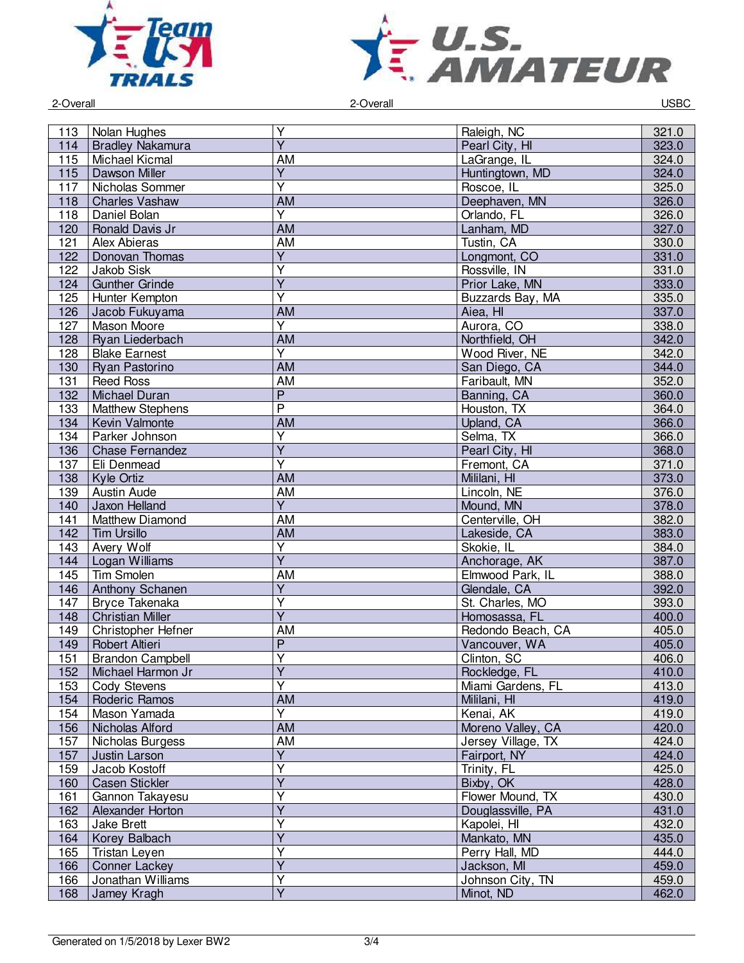



2-Overall 2-Overall USBC

| 113 | Nolan Hughes            | $\overline{Y}$               | Raleigh, NC        | 321.0 |
|-----|-------------------------|------------------------------|--------------------|-------|
| 114 | <b>Bradley Nakamura</b> | $\overline{Y}$               | Pearl City, HI     | 323.0 |
| 115 | <b>Michael Kicmal</b>   | <b>AM</b>                    | LaGrange, IL       | 324.0 |
| 115 | Dawson Miller           | $\overline{Y}$               | Huntingtown, MD    | 324.0 |
| 117 | Nicholas Sommer         | $\overline{\mathsf{Y}}$      | Roscoe, IL         | 325.0 |
| 118 | <b>Charles Vashaw</b>   | AM                           | Deephaven, MN      | 326.0 |
| 118 | Daniel Bolan            | $\overline{Y}$               | Orlando, FL        | 326.0 |
| 120 | Ronald Davis Jr         | <b>AM</b>                    | Lanham, MD         | 327.0 |
| 121 | Alex Abieras            | <b>AM</b>                    | Tustin, CA         | 330.0 |
| 122 | Donovan Thomas          | $\overline{Y}$               | Longmont, CO       | 331.0 |
| 122 | Jakob Sisk              | $\overline{Y}$               | Rossville, IN      | 331.0 |
| 124 | <b>Gunther Grinde</b>   | $\overline{Y}$               | Prior Lake, MN     | 333.0 |
| 125 | Hunter Kempton          | $\overline{\mathsf{Y}}$      | Buzzards Bay, MA   | 335.0 |
| 126 | Jacob Fukuyama          | AM                           | Aiea, HI           | 337.0 |
| 127 | Mason Moore             | $\overline{Y}$               | Aurora, CO         | 338.0 |
|     |                         | <b>AM</b>                    |                    |       |
| 128 | Ryan Liederbach         |                              | Northfield, OH     | 342.0 |
| 128 | <b>Blake Earnest</b>    | Y                            | Wood River, NE     | 342.0 |
| 130 | Ryan Pastorino          | <b>AM</b>                    | San Diego, CA      | 344.0 |
| 131 | <b>Reed Ross</b>        | <b>AM</b>                    | Faribault, MN      | 352.0 |
| 132 | <b>Michael Duran</b>    | $\overline{P}$               | Banning, CA        | 360.0 |
| 133 | <b>Matthew Stephens</b> | $\overline{P}$               | Houston, TX        | 364.0 |
| 134 | Kevin Valmonte          | <b>AM</b>                    | Upland, CA         | 366.0 |
| 134 | Parker Johnson          | $\overline{\mathsf{Y}}$      | Selma, TX          | 366.0 |
| 136 | <b>Chase Fernandez</b>  | $\overline{\mathsf{Y}}$      | Pearl City, HI     | 368.0 |
| 137 | Eli Denmead             | $\overline{\mathsf{Y}}$      | Fremont, CA        | 371.0 |
| 138 | Kyle Ortiz              | $\overline{AM}$              | Mililani, HI       | 373.0 |
| 139 | Austin Aude             | <b>AM</b>                    | Lincoln, NE        | 376.0 |
| 140 | Jaxon Helland           | $\overline{Y}$               | Mound, MN          | 378.0 |
| 141 | Matthew Diamond         | <b>AM</b>                    | Centerville, OH    | 382.0 |
| 142 | <b>Tim Ursillo</b>      | <b>AM</b>                    | Lakeside, CA       | 383.0 |
| 143 | Avery Wolf              | $\overline{Y}$               | Skokie, IL         | 384.0 |
| 144 | Logan Williams          | $\overline{\mathsf{Y}}$      | Anchorage, AK      | 387.0 |
| 145 | <b>Tim Smolen</b>       | <b>AM</b>                    | Elmwood Park, IL   | 388.0 |
| 146 | Anthony Schanen         | $\overline{Y}$               | Glendale, CA       | 392.0 |
| 147 | Bryce Takenaka          | Y                            | St. Charles, MO    | 393.0 |
| 148 | <b>Christian Miller</b> | $\overline{Y}$               | Homosassa, FL      | 400.0 |
| 149 | Christopher Hefner      | <b>AM</b>                    | Redondo Beach, CA  | 405.0 |
| 149 | Robert Altieri          | $\overline{P}$               | Vancouver, WA      | 405.0 |
| 151 | <b>Brandon Campbell</b> | $\overline{\mathsf{Y}}$      | Clinton, SC        | 406.0 |
|     |                         |                              |                    |       |
| 152 | Michael Harmon Jr       | Y<br>$\overline{\mathsf{Y}}$ | Rockledge, FL      | 410.0 |
| 153 | <b>Cody Stevens</b>     |                              | Miami Gardens, FL  | 413.0 |
| 154 | Roderic Ramos           | <b>AM</b>                    | Mililani, HI       | 419.0 |
| 154 | Mason Yamada            | $\overline{Y}$               | Kenai, AK          | 419.0 |
| 156 | Nicholas Alford         | AM                           | Moreno Valley, CA  | 420.0 |
| 157 | Nicholas Burgess        | AM                           | Jersey Village, TX | 424.0 |
| 157 | Justin Larson           | $\overline{Y}$               | Fairport, NY       | 424.0 |
| 159 | Jacob Kostoff           | $\overline{\mathsf{Y}}$      | Trinity, FL        | 425.0 |
| 160 | Casen Stickler          | $\overline{\mathsf{Y}}$      | Bixby, OK          | 428.0 |
| 161 | Gannon Takayesu         | $\overline{Y}$               | Flower Mound, TX   | 430.0 |
| 162 | Alexander Horton        | $\overline{Y}$               | Douglassville, PA  | 431.0 |
| 163 | Jake Brett              | Y                            | Kapolei, HI        | 432.0 |
| 164 | Korey Balbach           | $\overline{Y}$               | Mankato, MN        | 435.0 |
| 165 | Tristan Leyen           | Y                            | Perry Hall, MD     | 444.0 |
| 166 | Conner Lackey           | $\overline{Y}$               | Jackson, MI        | 459.0 |
| 166 | Jonathan Williams       | $\overline{\mathsf{Y}}$      | Johnson City, TN   | 459.0 |
| 168 | Jamey Kragh             | $\overline{Y}$               | Minot, ND          | 462.0 |